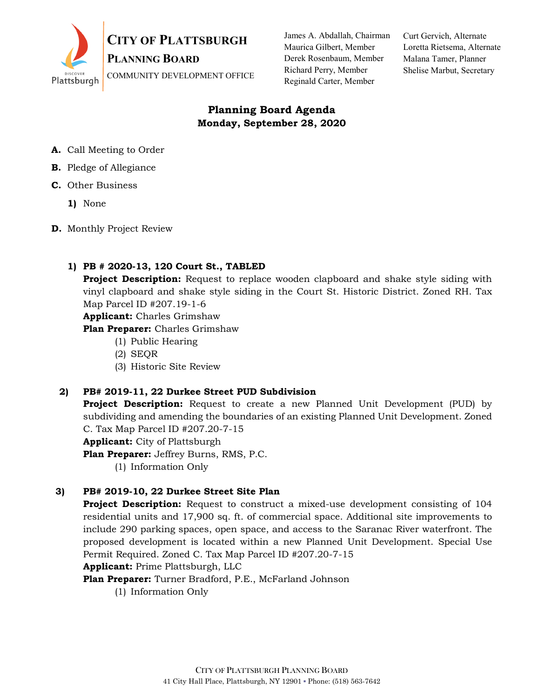

James A. Abdallah, Chairman Maurica Gilbert, Member Derek Rosenbaum, Member Richard Perry, Member Reginald Carter, Member

Curt Gervich, Alternate Loretta Rietsema, Alternate Malana Tamer, Planner Shelise Marbut, Secretary

# **Planning Board Agenda Monday, September 28, 2020**

- **A.** Call Meeting to Order
- **B.** Pledge of Allegiance
- **C.** Other Business
	- **1)** None
- **D.** Monthly Project Review

# **1) PB # 2020-13, 120 Court St., TABLED**

**Project Description:** Request to replace wooden clapboard and shake style siding with vinyl clapboard and shake style siding in the Court St. Historic District. Zoned RH. Tax Map Parcel ID #207.19-1-6

**Applicant:** Charles Grimshaw

**Plan Preparer:** Charles Grimshaw

- (1) Public Hearing
- (2) SEQR
- (3) Historic Site Review

### **2) PB# 2019-11, 22 Durkee Street PUD Subdivision**

**Project Description:** Request to create a new Planned Unit Development (PUD) by subdividing and amending the boundaries of an existing Planned Unit Development. Zoned C. Tax Map Parcel ID #207.20-7-15

**Applicant:** City of Plattsburgh

**Plan Preparer:** Jeffrey Burns, RMS, P.C.

(1) Information Only

# **3) PB# 2019-10, 22 Durkee Street Site Plan**

**Project Description:** Request to construct a mixed-use development consisting of 104 residential units and 17,900 sq. ft. of commercial space. Additional site improvements to include 290 parking spaces, open space, and access to the Saranac River waterfront. The proposed development is located within a new Planned Unit Development. Special Use Permit Required. Zoned C. Tax Map Parcel ID #207.20-7-15

### **Applicant:** Prime Plattsburgh, LLC

**Plan Preparer:** Turner Bradford, P.E., McFarland Johnson

(1) Information Only